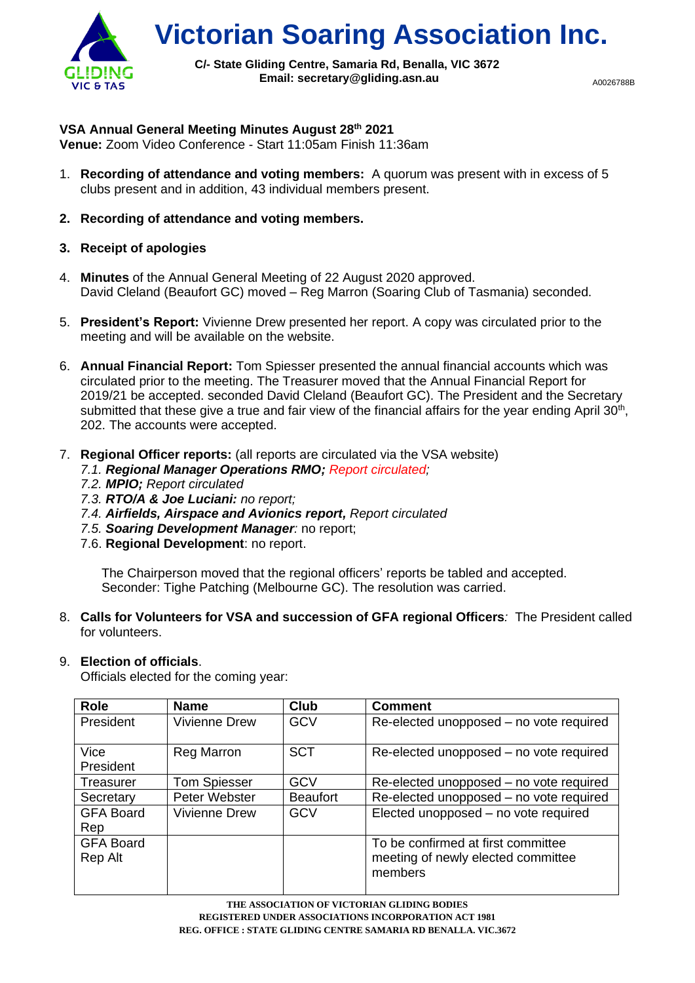

**Victorian Soaring Association Inc.**

**C/- State Gliding Centre, Samaria Rd, Benalla, VIC 3672 Email: secretary@gliding.asn.au**

A0026788B

### **VSA Annual General Meeting Minutes August 28 th 2021**

**Venue:** Zoom Video Conference - Start 11:05am Finish 11:36am

- 1. **Recording of attendance and voting members:** A quorum was present with in excess of 5 clubs present and in addition, 43 individual members present.
- **2. Recording of attendance and voting members.**
- **3. Receipt of apologies**
- 4. **Minutes** of the Annual General Meeting of 22 August 2020 approved. David Cleland (Beaufort GC) moved – Reg Marron (Soaring Club of Tasmania) seconded.
- 5. **President's Report:** Vivienne Drew presented her report. A copy was circulated prior to the meeting and will be available on the website.
- 6. **Annual Financial Report:** Tom Spiesser presented the annual financial accounts which was circulated prior to the meeting. The Treasurer moved that the Annual Financial Report for 2019/21 be accepted. seconded David Cleland (Beaufort GC). The President and the Secretary submitted that these give a true and fair view of the financial affairs for the year ending April  $30<sup>th</sup>$ , 202. The accounts were accepted.
- 7. **Regional Officer reports:** (all reports are circulated via the VSA website)
	- *7.1. Regional Manager Operations RMO; Report circulated;*
	- *7.2. MPIO; Report circulated*
	- *7.3. RTO/A & Joe Luciani: no report;*
	- *7.4. Airfields, Airspace and Avionics report, Report circulated*
	- *7.5. Soaring Development Manager:* no report;
	- 7.6. **Regional Development**: no report.

The Chairperson moved that the regional officers' reports be tabled and accepted. Seconder: Tighe Patching (Melbourne GC). The resolution was carried.

8. **Calls for Volunteers for VSA and succession of GFA regional Officers***:* The President called for volunteers.

# 9. **Election of officials**.

Officials elected for the coming year:

| <b>Role</b>                 | <b>Name</b>          | <b>Club</b>     | <b>Comment</b>                                                                      |
|-----------------------------|----------------------|-----------------|-------------------------------------------------------------------------------------|
| President                   | <b>Vivienne Drew</b> | <b>GCV</b>      | Re-elected unopposed – no vote required                                             |
| Vice<br>President           | <b>Reg Marron</b>    | <b>SCT</b>      | Re-elected unopposed – no vote required                                             |
| Treasurer                   | <b>Tom Spiesser</b>  | <b>GCV</b>      | Re-elected unopposed – no vote required                                             |
| Secretary                   | Peter Webster        | <b>Beaufort</b> | Re-elected unopposed - no vote required                                             |
| <b>GFA Board</b><br>Rep     | Vivienne Drew        | GCV             | Elected unopposed - no vote required                                                |
| <b>GFA Board</b><br>Rep Alt |                      |                 | To be confirmed at first committee<br>meeting of newly elected committee<br>members |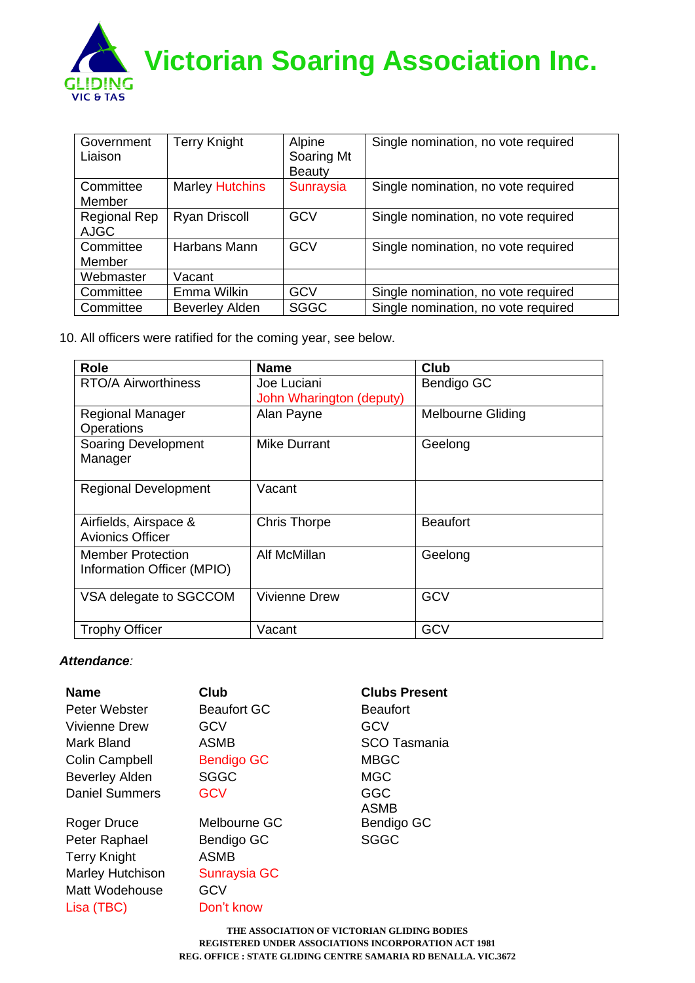

| Government<br>Liaison       | <b>Terry Knight</b>    | Alpine<br>Soaring Mt<br><b>Beauty</b> | Single nomination, no vote required |
|-----------------------------|------------------------|---------------------------------------|-------------------------------------|
| Committee<br>Member         | <b>Marley Hutchins</b> | <b>Sunraysia</b>                      | Single nomination, no vote required |
| Regional Rep<br><b>AJGC</b> | <b>Ryan Driscoll</b>   | <b>GCV</b>                            | Single nomination, no vote required |
| Committee<br>Member         | Harbans Mann           | <b>GCV</b>                            | Single nomination, no vote required |
| Webmaster                   | Vacant                 |                                       |                                     |
| Committee                   | Emma Wilkin            | <b>GCV</b>                            | Single nomination, no vote required |
| Committee                   | <b>Beverley Alden</b>  | <b>SGGC</b>                           | Single nomination, no vote required |

10. All officers were ratified for the coming year, see below.

| <b>Role</b>                                            | <b>Name</b>                             | Club                     |
|--------------------------------------------------------|-----------------------------------------|--------------------------|
| <b>RTO/A Airworthiness</b>                             | Joe Luciani<br>John Wharington (deputy) | Bendigo GC               |
| <b>Regional Manager</b><br>Operations                  | Alan Payne                              | <b>Melbourne Gliding</b> |
| <b>Soaring Development</b><br>Manager                  | Mike Durrant                            | Geelong                  |
| <b>Regional Development</b>                            | Vacant                                  |                          |
| Airfields, Airspace &<br><b>Avionics Officer</b>       | <b>Chris Thorpe</b>                     | <b>Beaufort</b>          |
| <b>Member Protection</b><br>Information Officer (MPIO) | Alf McMillan                            | Geelong                  |
| VSA delegate to SGCCOM                                 | <b>Vivienne Drew</b>                    | <b>GCV</b>               |
| <b>Trophy Officer</b>                                  | Vacant                                  | GCV                      |

## *Attendance:*

| <b>Name</b>             | <b>Club</b>         | <b>Clubs Present</b> |
|-------------------------|---------------------|----------------------|
| Peter Webster           | <b>Beaufort GC</b>  | <b>Beaufort</b>      |
| Vivienne Drew           | GCV                 | GCV                  |
| Mark Bland              | <b>ASMB</b>         | <b>SCO Tasmania</b>  |
| <b>Colin Campbell</b>   | <b>Bendigo GC</b>   | <b>MBGC</b>          |
| <b>Beverley Alden</b>   | <b>SGGC</b>         | <b>MGC</b>           |
| <b>Daniel Summers</b>   | <b>GCV</b>          | <b>GGC</b>           |
|                         |                     | <b>ASMB</b>          |
| Roger Druce             | Melbourne GC        | Bendigo GC           |
| Peter Raphael           | Bendigo GC          | <b>SGGC</b>          |
| <b>Terry Knight</b>     | <b>ASMB</b>         |                      |
| <b>Marley Hutchison</b> | <b>Sunraysia GC</b> |                      |
| Matt Wodehouse          | GCV                 |                      |
| Lisa (TBC)              | Don't know          |                      |

**THE ASSOCIATION OF VICTORIAN GLIDING BODIES REGISTERED UNDER ASSOCIATIONS INCORPORATION ACT 1981 REG. OFFICE : STATE GLIDING CENTRE SAMARIA RD BENALLA. VIC.3672**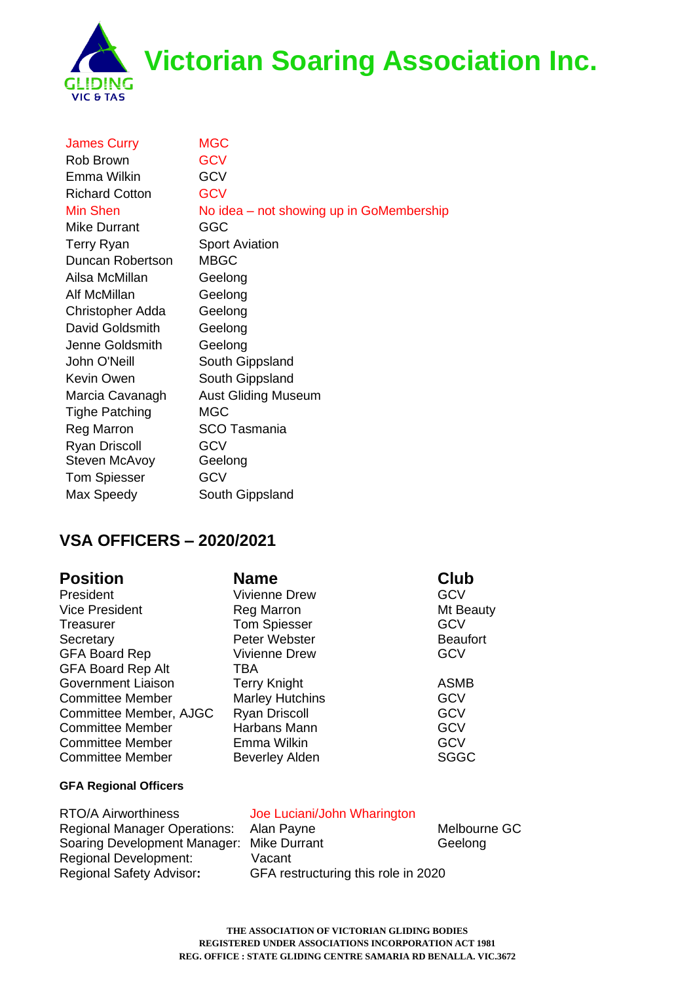**Victorian Soaring Association Inc.**



| <b>James Curry</b>    | <b>MGC</b>                               |
|-----------------------|------------------------------------------|
| Rob Brown             | <b>GCV</b>                               |
| Emma Wilkin           | <b>GCV</b>                               |
| <b>Richard Cotton</b> | <b>GCV</b>                               |
| <b>Min Shen</b>       | No idea – not showing up in GoMembership |
| <b>Mike Durrant</b>   | GGC                                      |
| <b>Terry Ryan</b>     | <b>Sport Aviation</b>                    |
| Duncan Robertson      | <b>MBGC</b>                              |
| Ailsa McMillan        | Geelong                                  |
| Alf McMillan          | Geelong                                  |
| Christopher Adda      | Geelong                                  |
| David Goldsmith       | Geelong                                  |
| Jenne Goldsmith       | Geelong                                  |
| John O'Neill          | South Gippsland                          |
| Kevin Owen            | South Gippsland                          |
| Marcia Cavanagh       | <b>Aust Gliding Museum</b>               |
| <b>Tighe Patching</b> | <b>MGC</b>                               |
| <b>Reg Marron</b>     | <b>SCO Tasmania</b>                      |
| <b>Ryan Driscoll</b>  | <b>GCV</b>                               |
| Steven McAvoy         | Geelong                                  |
| <b>Tom Spiesser</b>   | <b>GCV</b>                               |
| Max Speedy            | South Gippsland                          |

# **VSA OFFICERS – 2020/2021**

**Position Name Club** President Vivienne Drew GCV Vice President **Reg Marron** Register Mt Beauty Treasurer Tom Spiesser GCV Secretary **Peter Webster Beaufort** Beaufort GFA Board Rep Vivienne Drew GCV GFA Board Rep Alt TBA Government Liaison Terry Knight **ASMB** Committee Member Marley Hutchins GCV Committee Member, AJGC Ryan Driscoll GCV Committee Member Harbans Mann GCV Committee Member **Emma Wilkin Emma Wilkin GCV** Committee Member Beverley Alden SGGC

### **GFA Regional Officers**

RTO/A Airworthiness Joe Luciani/John Wharington Regional Development: Vacant Regional Safety Advisor**:** GFA restructuring this role in 2020

Regional Manager Operations: Alan Payne Melbourne GC Soaring Development Manager: Mike Durrant Manager Soaring Geelong

> **THE ASSOCIATION OF VICTORIAN GLIDING BODIES REGISTERED UNDER ASSOCIATIONS INCORPORATION ACT 1981 REG. OFFICE : STATE GLIDING CENTRE SAMARIA RD BENALLA. VIC.3672**